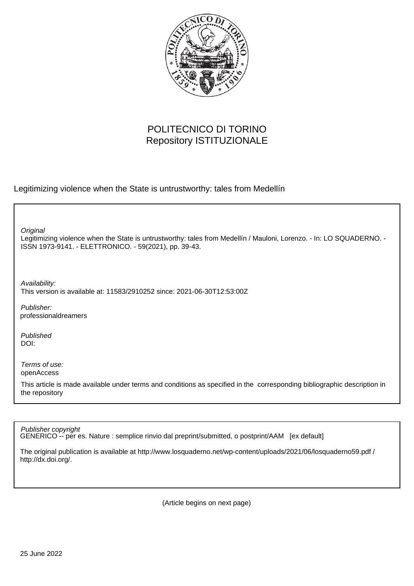

## POLITECNICO DI TORINO Repository ISTITUZIONALE

Legitimizing violence when the State is untrustworthy: tales from Medellín

**Original** 

Legitimizing violence when the State is untrustworthy: tales from Medellín / Mauloni, Lorenzo. - In: LO SQUADERNO. - ISSN 1973-9141. - ELETTRONICO. - 59(2021), pp. 39-43.

Availability: This version is available at: 11583/2910252 since: 2021-06-30T12:53:00Z

Publisher: professionaldreamers

Published DOI:

Terms of use: openAccess

This article is made available under terms and conditions as specified in the corresponding bibliographic description in the repository

Publisher copyright

GENERICO -- per es. Nature : semplice rinvio dal preprint/submitted, o postprint/AAM [ex default]

The original publication is available at http://www.losquaderno.net/wp-content/uploads/2021/06/losquaderno59.pdf / http://dx.doi.org/.

(Article begins on next page)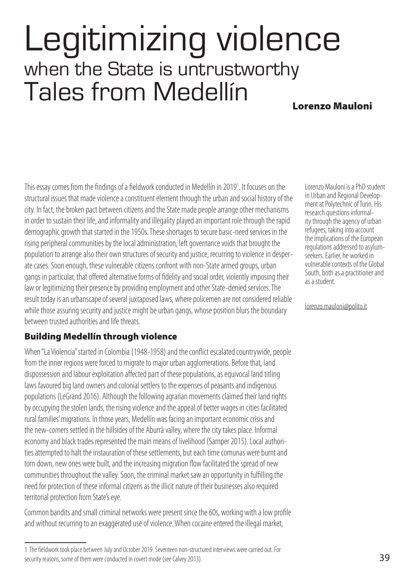# Legitimizing violence when the State is untrustworthy Tales from Medellín

## Lorenzo Mauloni

This essay comes from the findings of a fieldwork conducted in Medellín in 20191 . It focuses on the structural issues that made violence a constituent element through the urban and social history of the city. In fact, the broken pact between citizens and the State made people arrange other mechanisms in order to sustain their life, and informality and illegality played an important role through the rapid demographic growth that started in the 1950s. These shortages to secure basic-need services in the rising peripheral communities by the local administration, left governance voids that brought the population to arrange also their own structures of security and justice, recurring to violence in desperate cases. Soon enough, these vulnerable citizens confront with non-State armed groups, urban gangs in particular, that offered alternative forms of fidelity and social order, violently imposing their law or legitimizing their presence by providing employment and other State-denied services. The result today is an urbanscape of several juxtaposed laws, where policemen are not considered reliable while those assuring security and justice might be urban gangs, whose position blurs the boundary between trusted authorities and life threats.

### Building Medellín through violence

When "La Violencia" started in Colombia (1948-1958) and the conflict escalated countrywide, people from the inner regions were forced to migrate to major urban agglomerations. Before that, land dispossession and labour exploitation affected part of these populations, as equivocal land titling laws favoured big land owners and colonial settlers to the expenses of peasants and indigenous populations (LeGrand 2016). Although the following agrarian movements claimed their land rights by occupying the stolen lands, the rising violence and the appeal of better wages in cities facilitated rural families' migrations. In those years, Medellín was facing an important economic crisis and the new-comers settled in the hillsides of the Aburrà valley, where the city takes place. Informal economy and black trades represented the main means of livelihood (Samper 2015). Local authorities attempted to halt the instauration of these settlements, but each time comunas were burnt and torn down, new ones were built, and the increasing migration flow facilitated the spread of new communities throughout the valley. Soon, the criminal market saw an opportunity in fulfilling the need for protection of these informal citizens as the illicit nature of their businesses also required territorial protection from State's eye.

Common bandits and small criminal networks were present since the 60s, working with a low profile and without recurring to an exaggerated use of violence. When cocaine entered the illegal market,

lorenzo.mauloni@polito.it

Lorenzo Mauloni is a PhD student in Urban and Regional Development at Polytechnic of Turin. His research questions informality through the agency of urban refugees, taking into account the implications of the European regulations addressed to asylumseekers. Earlier, he worked in vulnerable contexts of the Global South, both as a practitioner and as a student.

<sup>1</sup> The fieldwork took place between July and October 2019. Seventeen non-structured interviews were carried out. For security reasons, some of them were conducted in covert mode (see Calvey 2013).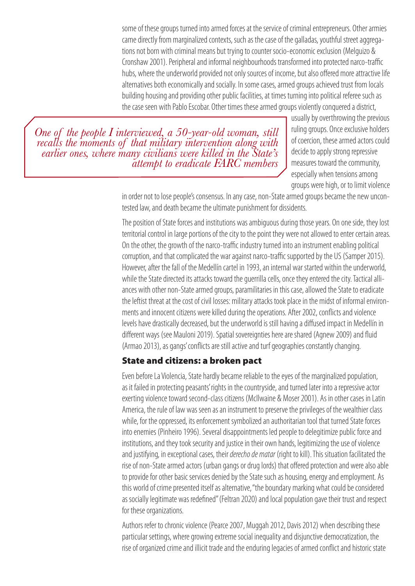some of these groups turned into armed forces at the service of criminal entrepreneurs. Other armies came directly from marginalized contexts, such as the case of the galladas, youthful street aggregations not born with criminal means but trying to counter socio-economic exclusion (Melguizo & Cronshaw 2001). Peripheral and informal neighbourhoods transformed into protected narco-traffic hubs, where the underworld provided not only sources of income, but also offered more attractive life alternatives both economically and socially. In some cases, armed groups achieved trust from locals building housing and providing other public facilities, at times turning into political referee such as the case seen with Pablo Escobar. Other times these armed groups violently conquered a district,

*One of the people I interviewed, a 50-year-old woman, still recalls the moments of that military intervention along with earlier ones, where many civilians were killed in the State's attempt to eradicate FARC members* usually by overthrowing the previous ruling groups. Once exclusive holders of coercion, these armed actors could decide to apply strong repressive measures toward the community, especially when tensions among groups were high, or to limit violence

in order not to lose people's consensus. In any case, non-State armed groups became the new uncontested law, and death became the ultimate punishment for dissidents.

The position of State forces and institutions was ambiguous during those years. On one side, they lost territorial control in large portions of the city to the point they were not allowed to enter certain areas. On the other, the growth of the narco-traffic industry turned into an instrument enabling political corruption, and that complicated the war against narco-traffic supported by the US (Samper 2015). However, after the fall of the Medellín cartel in 1993, an internal war started within the underworld, while the State directed its attacks toward the guerrilla cells, once they entered the city. Tactical alliances with other non-State armed groups, paramilitaries in this case, allowed the State to eradicate the leftist threat at the cost of civil losses: military attacks took place in the midst of informal environments and innocent citizens were killed during the operations. After 2002, conflicts and violence levels have drastically decreased, but the underworld is still having a diffused impact in Medellín in different ways (see Mauloni 2019). Spatial sovereignties here are shared (Agnew 2009) and fluid (Armao 2013), as gangs' conflicts are still active and turf geographies constantly changing.

#### State and citizens: a broken pact

Even before La Violencia, State hardly became reliable to the eyes of the marginalized population, as it failed in protecting peasants' rights in the countryside, and turned later into a repressive actor exerting violence toward second-class citizens (McIlwaine & Moser 2001). As in other cases in Latin America, the rule of law was seen as an instrument to preserve the privileges of the wealthier class while, for the oppressed, its enforcement symbolized an authoritarian tool that turned State forces into enemies (Pinheiro 1996). Several disappointments led people to delegitimize public force and institutions, and they took security and justice in their own hands, legitimizing the use of violence and justifying, in exceptional cases, their *derecho de matar* (right to kill). This situation facilitated the rise of non-State armed actors (urban gangs or drug lords) that offered protection and were also able to provide for other basic services denied by the State such as housing, energy and employment. As this world of crime presented itself as alternative, "the boundary marking what could be considered as socially legitimate was redefined" (Feltran 2020) and local population gave their trust and respect for these organizations.

Authors refer to chronic violence (Pearce 2007, Muggah 2012, Davis 2012) when describing these particular settings, where growing extreme social inequality and disjunctive democratization, the rise of organized crime and illicit trade and the enduring legacies of armed conflict and historic state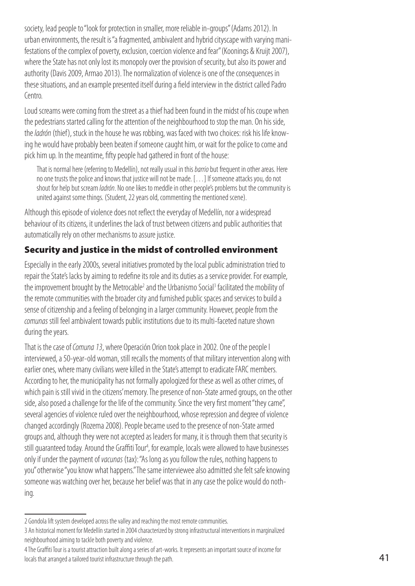society, lead people to "look for protection in smaller, more reliable in-groups" (Adams 2012). In urban environments, the result is "a fragmented, ambivalent and hybrid cityscape with varying manifestations of the complex of poverty, exclusion, coercion violence and fear" (Koonings & Kruijt 2007), where the State has not only lost its monopoly over the provision of security, but also its power and authority (Davis 2009, Armao 2013). The normalization of violence is one of the consequences in these situations, and an example presented itself during a field interview in the district called Padro Centro.

Loud screams were coming from the street as a thief had been found in the midst of his coupe when the pedestrians started calling for the attention of the neighbourhood to stop the man. On his side, the *ladrón* (thief), stuck in the house he was robbing, was faced with two choices: risk his life knowing he would have probably been beaten if someone caught him, or wait for the police to come and pick him up. In the meantime, fifty people had gathered in front of the house:

That is normal here (referring to Medellín), not really usual in this *barrio* but frequent in other areas. Here no one trusts the police and knows that justice will not be made. […] If someone attacks you, do not shout for help but scream *ladrón*. No one likes to meddle in other people's problems but the community is united against some things. (Student, 22 years old, commenting the mentioned scene).

Although this episode of violence does not reflect the everyday of Medellín, nor a widespread behaviour of its citizens, it underlines the lack of trust between citizens and public authorities that automatically rely on other mechanisms to assure justice.

## Security and justice in the midst of controlled environment

Especially in the early 2000s, several initiatives promoted by the local public administration tried to repair the State's lacks by aiming to redefine its role and its duties as a service provider. For example, the improvement brought by the Metrocable<sup>2</sup> and the Urbanismo Social<sup>3</sup> facilitated the mobility of the remote communities with the broader city and furnished public spaces and services to build a sense of citizenship and a feeling of belonging in a larger community. However, people from the *comunas* still feel ambivalent towards public institutions due to its multi-faceted nature shown during the years.

That is the case of *Comuna 13*, where Operación Orion took place in 2002. One of the people I interviewed, a 50-year-old woman, still recalls the moments of that military intervention along with earlier ones, where many civilians were killed in the State's attempt to eradicate FARC members. According to her, the municipality has not formally apologized for these as well as other crimes, of which pain is still vivid in the citizens' memory. The presence of non-State armed groups, on the other side, also posed a challenge for the life of the community. Since the very first moment "they came", several agencies of violence ruled over the neighbourhood, whose repression and degree of violence changed accordingly (Rozema 2008). People became used to the presence of non-State armed groups and, although they were not accepted as leaders for many, it is through them that security is still guaranteed today. Around the Graffiti Tour<sup>4</sup>, for example, locals were allowed to have businesses only if under the payment of *vacunas* (tax): "As long as you follow the rules, nothing happens to you" otherwise "you know what happens." The same interviewee also admitted she felt safe knowing someone was watching over her, because her belief was that in any case the police would do nothing.

<sup>2</sup> Gondola lift system developed across the valley and reaching the most remote communities.

<sup>3</sup> An historical moment for Medellín started in 2004 characterized by strong infrastructural interventions in marginalized neighbourhood aiming to tackle both poverty and violence.

<sup>4</sup> The Graffiti Tour is a tourist attraction built along a series of art-works. It represents an important source of income for locals that arranged a tailored tourist infrastructure through the path.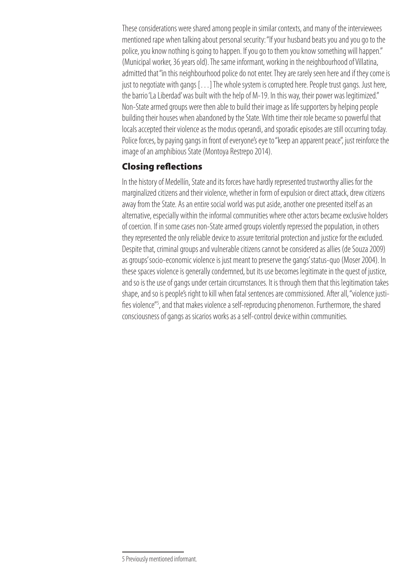These considerations were shared among people in similar contexts, and many of the interviewees mentioned rape when talking about personal security: "If your husband beats you and you go to the police, you know nothing is going to happen. If you go to them you know something will happen." (Municipal worker, 36 years old). The same informant, working in the neighbourhood of Villatina, admitted that "in this neighbourhood police do not enter. They are rarely seen here and if they come is just to negotiate with gangs […] The whole system is corrupted here. People trust gangs. Just here, the barrio 'La Liberdad' was built with the help of M-19. In this way, their power was legitimized." Non-State armed groups were then able to build their image as life supporters by helping people building their houses when abandoned by the State. With time their role became so powerful that locals accepted their violence as the modus operandi, and sporadic episodes are still occurring today. Police forces, by paying gangs in front of everyone's eye to "keep an apparent peace", just reinforce the image of an amphibious State (Montoya Restrepo 2014).

#### Closing reflections

In the history of Medellín, State and its forces have hardly represented trustworthy allies for the marginalized citizens and their violence, whether in form of expulsion or direct attack, drew citizens away from the State. As an entire social world was put aside, another one presented itself as an alternative, especially within the informal communities where other actors became exclusive holders of coercion. If in some cases non-State armed groups violently repressed the population, in others they represented the only reliable device to assure territorial protection and justice for the excluded. Despite that, criminal groups and vulnerable citizens cannot be considered as allies (de Souza 2009) as groups' socio-economic violence is just meant to preserve the gangs' status-quo (Moser 2004). In these spaces violence is generally condemned, but its use becomes legitimate in the quest of justice, and so is the use of gangs under certain circumstances. It is through them that this legitimation takes shape, and so is people's right to kill when fatal sentences are commissioned. After all, "violence justifies violence"<sup>5</sup>, and that makes violence a self-reproducing phenomenon. Furthermore, the shared consciousness of gangs as sicarios works as a self-control device within communities.

<sup>5</sup> Previously mentioned informant.